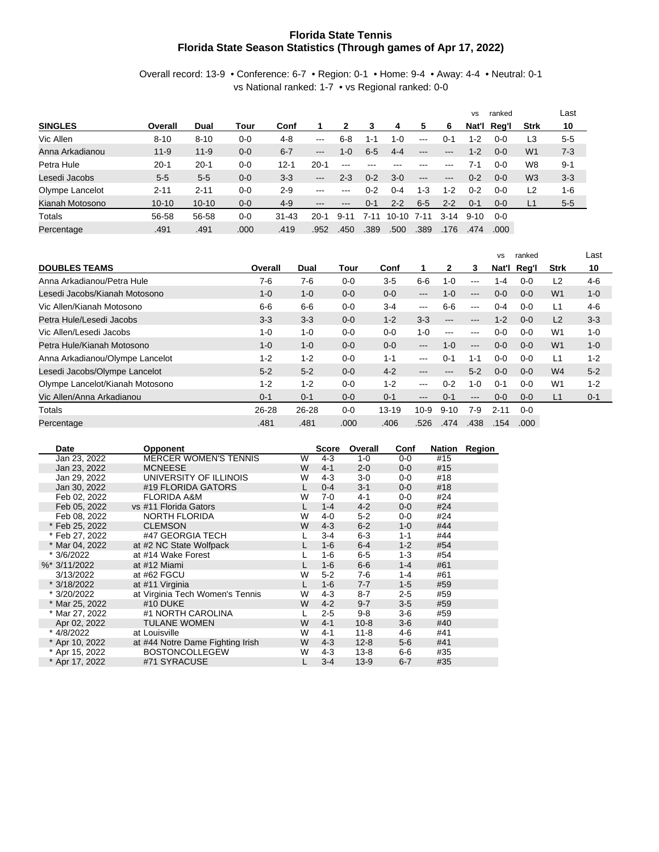## **Florida State Tennis Florida State Season Statistics (Through games of Apr 17, 2022)**

Overall record: 13-9 • Conference: 6-7 • Region: 0-1 • Home: 9-4 • Away: 4-4 • Neutral: 0-1 vs National ranked: 1-7 • vs Regional ranked: 0-0

|                 |           |           |         |           |                            |                           |         |           |                   |         | <b>VS</b> | ranked  |                | Last    |
|-----------------|-----------|-----------|---------|-----------|----------------------------|---------------------------|---------|-----------|-------------------|---------|-----------|---------|----------------|---------|
| <b>SINGLES</b>  | Overall   | Dual      | Tour    | Conf      |                            |                           | 3       | 4         | 5                 | 6       | Nat'l     | Reg'l   | <b>Strk</b>    | 10      |
| Vic Allen       | $8 - 10$  | $8 - 10$  | $0 - 0$ | 4-8       | $- - -$                    | $6 - 8$                   | 1-1     | $1 - 0$   | $---$             | 0-1     | 1-2       | $0 - 0$ | L3             | $5-5$   |
| Anna Arkadianou | $11 - 9$  | $11 - 9$  | $0 - 0$ | $6 - 7$   | $\qquad \qquad -$          | $1 - 0$                   | $6-5$   | $4 - 4$   | $---$             | $---$   | $1 - 2$   | $0 - 0$ | W <sub>1</sub> | $7-3$   |
| Petra Hule      | $20 - 1$  | $20 - 1$  | $0 - 0$ | $12 - 1$  | $20 - 1$                   | $\frac{1}{2}$             |         |           | ---               | ---     | 7-1       | 0-0     | W8             | $9 - 1$ |
| Lesedi Jacobs   | $5 - 5$   | $5-5$     | $0 - 0$ | $3-3$     | $---$                      | $2 - 3$                   | $0 - 2$ | $3-0$     | $\qquad \qquad -$ | $---$   | $0 - 2$   | $0 - 0$ | W <sub>3</sub> | $3 - 3$ |
| Olympe Lancelot | 2-11      | $2 - 11$  | $0 - 0$ | $2-9$     | $- - -$                    | $- - -$                   | $0 - 2$ | $0 - 4$   | $1 - 3$           | $1 - 2$ | $0 - 2$   | $0 - 0$ | L <sub>2</sub> | $1 - 6$ |
| Kianah Motosono | $10 - 10$ | $10 - 10$ | $0-0$   | $4 - 9$   | $\qquad \qquad - \qquad -$ | $\qquad \qquad -\qquad -$ | $0 - 1$ | $2 - 2$   | $6-5$             | $2 - 2$ | $0 - 1$   | $0 - 0$ | L1             | $5-5$   |
| Totals          | 56-58     | 56-58     | $0-0$   | $31 - 43$ | $20-1$                     | $9 - 11$                  | 7-11    | $10 - 10$ | 7-11              | $3-14$  | $9 - 10$  | $0 - 0$ |                |         |
| Percentage      | .491      | .491      | .000    | .419      | .952                       | .450                      | .389    | .500      | .389              | .176    | .474      | .000    |                |         |

|                                 |         |         |         |           |                        |              |                   | <b>VS</b> | ranked  |                | Last    |
|---------------------------------|---------|---------|---------|-----------|------------------------|--------------|-------------------|-----------|---------|----------------|---------|
| <b>DOUBLES TEAMS</b>            | Overall | Dual    | Tour    | Conf      |                        | $\mathbf{2}$ | 3                 | Nat'l     | Rea'l   | <b>Strk</b>    | 10      |
| Anna Arkadianou/Petra Hule      | 7-6     | 7-6     | $0 - 0$ | $3-5$     | 6-6                    | $1 - 0$      | ---               | $1 - 4$   | $0 - 0$ | L2             | $4-6$   |
| Lesedi Jacobs/Kianah Motosono   | $1 - 0$ | $1 - 0$ | $0 - 0$ | $0 - 0$   | $-- -$                 | $1 - 0$      | ---               | $0 - 0$   | $0 - 0$ | W <sub>1</sub> | $1 - 0$ |
| Vic Allen/Kianah Motosono       | $6-6$   | $6-6$   | $0 - 0$ | $3-4$     | $\cdots$               | $6-6$        | $---$             | $0 - 4$   | $0 - 0$ | L1             | $4-6$   |
| Petra Hule/Lesedi Jacobs        | $3-3$   | $3-3$   | $0 - 0$ | $1 - 2$   | $3-3$                  | $---$        | ---               | $1 - 2$   | $0 - 0$ | L2             | $3-3$   |
| Vic Allen/Lesedi Jacobs         | $1 - 0$ | 1-0     | $0 - 0$ | $0 - 0$   | $1 - 0$                | $---$        | $\frac{1}{2}$     | $0 - 0$   | $0 - 0$ | W <sub>1</sub> | $1 - 0$ |
| Petra Hule/Kianah Motosono      | $1 - 0$ | $1 - 0$ | $0 - 0$ | $0 - 0$   | $\qquad \qquad -$      | $1 - 0$      | $---$             | $0 - 0$   | $0 - 0$ | W <sub>1</sub> | $1 - 0$ |
| Anna Arkadianou/Olympe Lancelot | $1 - 2$ | $1 - 2$ | $0 - 0$ | $1 - 1$   | $--$                   | $0 - 1$      | $1 - 1$           | $0 - 0$   | $0 - 0$ | L1             | $1 - 2$ |
| Lesedi Jacobs/Olympe Lancelot   | $5 - 2$ | $5 - 2$ | $0 - 0$ | $4 - 2$   | ---                    | ---          | $5-2$             | $0 - 0$   | $0 - 0$ | W <sub>4</sub> | $5 - 2$ |
| Olympe Lancelot/Kianah Motosono | $1 - 2$ | $1 - 2$ | $0 - 0$ | $1 - 2$   | $\qquad \qquad \cdots$ | $0 - 2$      | $1 - 0$           | $0 - 1$   | $0 - 0$ | W <sub>1</sub> | $1 - 2$ |
| Vic Allen/Anna Arkadianou       | $0 - 1$ | $0 - 1$ | $0 - 0$ | $0 - 1$   | $\qquad \qquad -$      | $0 - 1$      | $\qquad \qquad -$ | $0 - 0$   | $0 - 0$ | L1             | $0 - 1$ |
| Totals                          | 26-28   | 26-28   | $0 - 0$ | $13 - 19$ | $10 - 9$               | $9 - 10$     | 7-9               | $2 - 11$  | $0 - 0$ |                |         |
| Percentage                      | .481    | .481    | .000    | .406      | .526                   | .474         | .438              | .154      | .000    |                |         |

| Date           | <b>Opponent</b>                  |   | <b>Score</b> | Overall  | Conf    | Nation | Region |
|----------------|----------------------------------|---|--------------|----------|---------|--------|--------|
| Jan 23, 2022   | <b>MERCER WOMEN'S TENNIS</b>     | W | $4-3$        | 1-0      | $0 - 0$ | #15    |        |
| Jan 23, 2022   | <b>MCNEESE</b>                   | W | $4 - 1$      | $2 - 0$  | $0 - 0$ | #15    |        |
| Jan 29, 2022   | UNIVERSITY OF ILLINOIS           | W | $4 - 3$      | $3-0$    | $0 - 0$ | #18    |        |
| Jan 30, 2022   | #19 FLORIDA GATORS               |   | $0 - 4$      | $3 - 1$  | $0-0$   | #18    |        |
| Feb 02, 2022   | <b>FLORIDA A&amp;M</b>           | W | $7-0$        | $4 - 1$  | $0 - 0$ | #24    |        |
| Feb 05, 2022   | vs #11 Florida Gators            |   | $1 - 4$      | $4 - 2$  | $0 - 0$ | #24    |        |
| Feb 08, 2022   | NORTH FLORIDA                    | W | $4 - 0$      | $5-2$    | $0 - 0$ | #24    |        |
| * Feb 25, 2022 | <b>CLEMSON</b>                   | W | $4 - 3$      | $6 - 2$  | $1 - 0$ | #44    |        |
| * Feb 27, 2022 | #47 GEORGIA TECH                 |   | $3-4$        | $6 - 3$  | $1 - 1$ | #44    |        |
| * Mar 04, 2022 | at #2 NC State Wolfpack          |   | 1-6          | $6 - 4$  | $1 - 2$ | #54    |        |
| * 3/6/2022     | at #14 Wake Forest               |   | $1-6$        | $6 - 5$  | $1 - 3$ | #54    |        |
| %* 3/11/2022   | at #12 Miami                     |   | $1 - 6$      | $6 - 6$  | $1 - 4$ | #61    |        |
| 3/13/2022      | at #62 FGCU                      | W | $5-2$        | $7-6$    | $1 - 4$ | #61    |        |
| * 3/18/2022    | at #11 Virginia                  |   | $1 - 6$      | $7 - 7$  | $1 - 5$ | #59    |        |
| * 3/20/2022    | at Virginia Tech Women's Tennis  | W | $4-3$        | $8 - 7$  | $2 - 5$ | #59    |        |
| * Mar 25, 2022 | #10 DUKE                         | W | $4 - 2$      | $9 - 7$  | $3 - 5$ | #59    |        |
| * Mar 27, 2022 | #1 NORTH CAROLINA                |   | $2 - 5$      | $9 - 8$  | $3-6$   | #59    |        |
| Apr 02, 2022   | <b>TULANE WOMEN</b>              | W | $4 - 1$      | $10 - 8$ | $3 - 6$ | #40    |        |
| * 4/8/2022     | at Louisville                    | W | $4 - 1$      | $11 - 8$ | $4 - 6$ | #41    |        |
| * Apr 10, 2022 | at #44 Notre Dame Fighting Irish | W | $4 - 3$      | $12 - 8$ | $5 - 6$ | #41    |        |
| * Apr 15, 2022 | <b>BOSTONCOLLEGEW</b>            | W | $4 - 3$      | $13 - 8$ | $6-6$   | #35    |        |
| * Apr 17, 2022 | #71 SYRACUSE                     |   | $3-4$        | $13 - 9$ | $6 - 7$ | #35    |        |